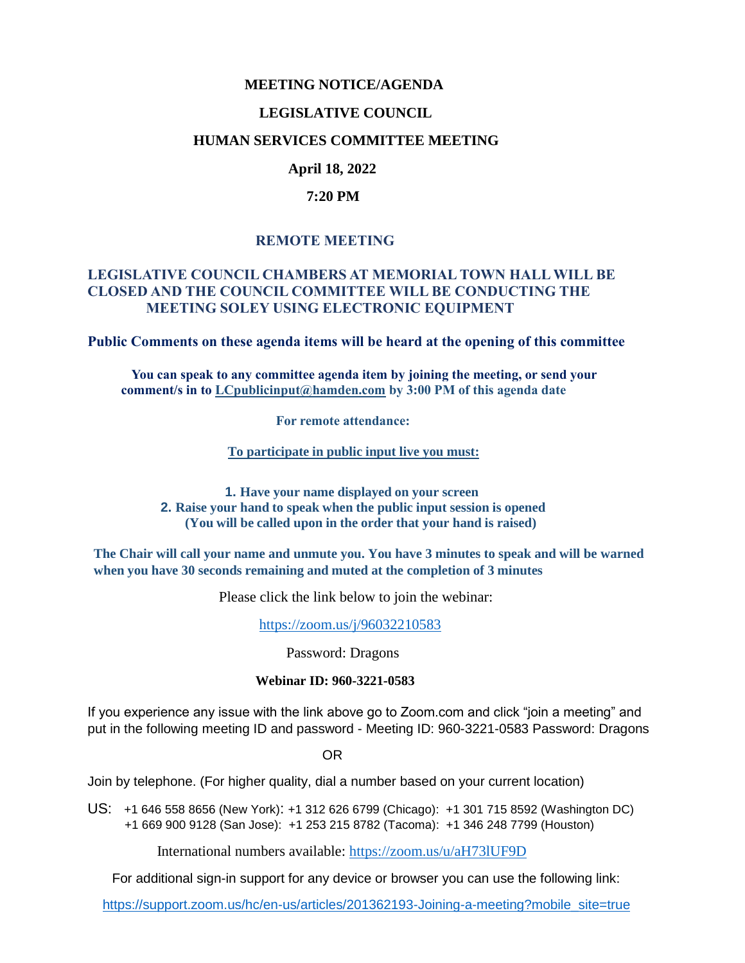## **MEETING NOTICE/AGENDA**

#### **LEGISLATIVE COUNCIL**

#### **HUMAN SERVICES COMMITTEE MEETING**

## **April 18, 2022**

#### **7:20 PM**

## **REMOTE MEETING**

## **LEGISLATIVE COUNCIL CHAMBERS AT MEMORIAL TOWN HALL WILL BE CLOSED AND THE COUNCIL COMMITTEE WILL BE CONDUCTING THE MEETING SOLEY USING ELECTRONIC EQUIPMENT**

**Public Comments on these agenda items will be heard at the opening of this committee** 

 **You can speak to any committee agenda item by joining the meeting, or send your comment/s in to [LCpublicinput@hamden.com](mailto:LCpublicinput@hamden.com) by 3:00 PM of this agenda date**

 **For remote attendance:**

**To participate in public input live you must:**

**1. Have your name displayed on your screen 2. Raise your hand to speak when the public input session is opened (You will be called upon in the order that your hand is raised)**

**The Chair will call your name and unmute you. You have 3 minutes to speak and will be warned when you have 30 seconds remaining and muted at the completion of 3 minutes**

Please click the link below to join the webinar:

<https://zoom.us/j/96032210583>

Password: Dragons

#### **Webinar ID: 960-3221-0583**

If you experience any issue with the link above go to Zoom.com and click "join a meeting" and put in the following meeting ID and password - Meeting ID: 960-3221-0583 Password: Dragons

OR

Join by telephone. (For higher quality, dial a number based on your current location)

US: [+1 646 558 8656 \(New York\)](tel:+16465588656): [+1 312 626 6799 \(Chicago\):](tel:+13126266799) [+1 301 715 8592 \(Washington DC\)](tel:+13017158592) +1 669 900 9128 (San Jose): [+1 253 215 8782 \(Tacoma\):](tel:+12532158782) [+1 346 248 7799 \(Houston\)](tel:+13462487799)

International numbers available:<https://zoom.us/u/aH73lUF9D>

For additional sign-in support for any device or browser you can use the following link:

[https://support.zoom.us/hc/en-us/articles/201362193-Joining-a-meeting?mobile\\_site=true](https://support.zoom.us/hc/en-us/articles/201362193-Joining-a-meeting?mobile_site=true)